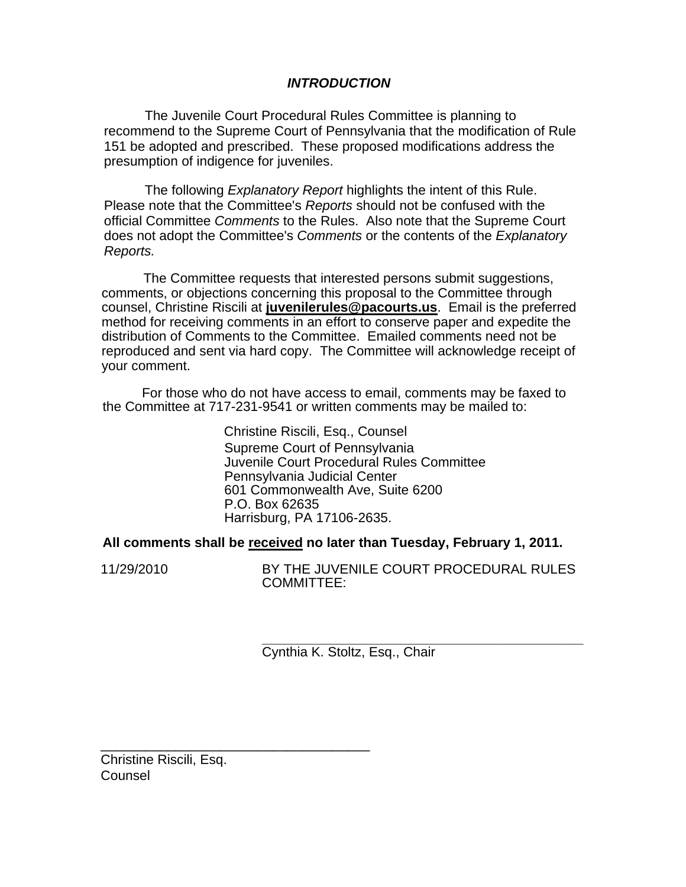## *INTRODUCTION*

The Juvenile Court Procedural Rules Committee is planning to recommend to the Supreme Court of Pennsylvania that the modification of Rule 151 be adopted and prescribed. These proposed modifications address the presumption of indigence for juveniles.

The following *Explanatory Report* highlights the intent of this Rule. Please note that the Committee's *Reports* should not be confused with the official Committee *Comments* to the Rules. Also note that the Supreme Court does not adopt the Committee's *Comments* or the contents of the *Explanatory Reports.* 

The Committee requests that interested persons submit suggestions, comments, or objections concerning this proposal to the Committee through counsel, Christine Riscili at **juvenilerules@pacourts.us**. Email is the preferred method for receiving comments in an effort to conserve paper and expedite the distribution of Comments to the Committee. Emailed comments need not be reproduced and sent via hard copy. The Committee will acknowledge receipt of your comment.

 For those who do not have access to email, comments may be faxed to the Committee at 717-231-9541 or written comments may be mailed to:

> Christine Riscili, Esq., Counsel Supreme Court of Pennsylvania Juvenile Court Procedural Rules Committee Pennsylvania Judicial Center 601 Commonwealth Ave, Suite 6200 P.O. Box 62635 Harrisburg, PA 17106-2635.

**All comments shall be received no later than Tuesday, February 1, 2011.** 

11/29/2010 BY THE JUVENILE COURT PROCEDURAL RULES COMMITTEE:

> **\_\_\_\_\_\_\_\_\_\_\_\_\_\_\_\_\_\_\_\_\_\_\_\_\_\_\_\_\_\_\_\_\_\_\_\_\_\_\_\_\_\_\_**  Cynthia K. Stoltz, Esq., Chair

Christine Riscili, Esq. Counsel

\_\_\_\_\_\_\_\_\_\_\_\_\_\_\_\_\_\_\_\_\_\_\_\_\_\_\_\_\_\_\_\_\_\_\_\_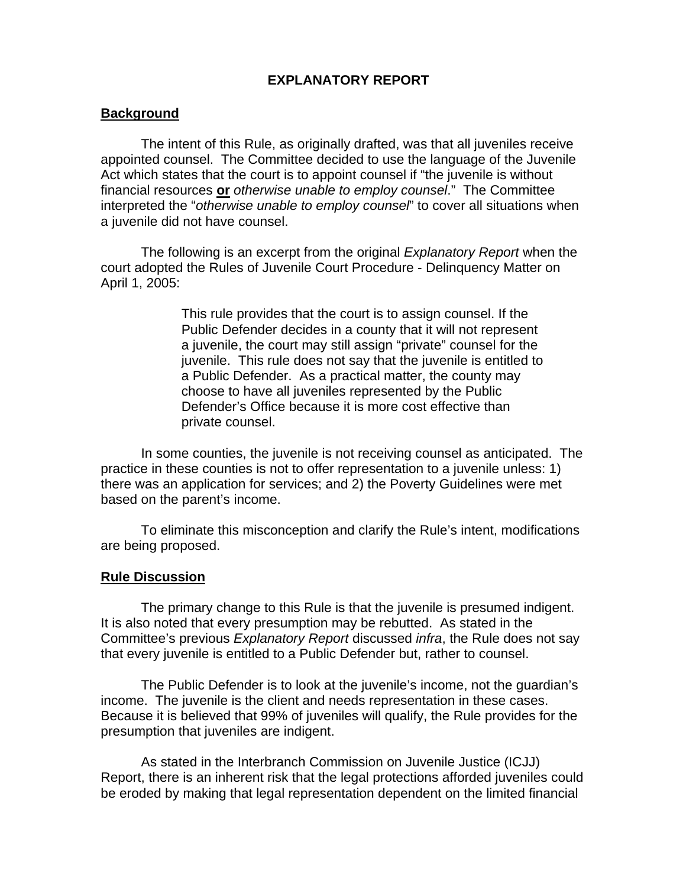# **EXPLANATORY REPORT**

### **Background**

The intent of this Rule, as originally drafted, was that all juveniles receive appointed counsel. The Committee decided to use the language of the Juvenile Act which states that the court is to appoint counsel if "the juvenile is without financial resources **or** *otherwise unable to employ counsel*." The Committee interpreted the "*otherwise unable to employ counsel*" to cover all situations when a juvenile did not have counsel.

The following is an excerpt from the original *Explanatory Report* when the court adopted the Rules of Juvenile Court Procedure - Delinquency Matter on April 1, 2005:

> This rule provides that the court is to assign counsel. If the Public Defender decides in a county that it will not represent a juvenile, the court may still assign "private" counsel for the juvenile. This rule does not say that the juvenile is entitled to a Public Defender. As a practical matter, the county may choose to have all juveniles represented by the Public Defender's Office because it is more cost effective than private counsel.

In some counties, the juvenile is not receiving counsel as anticipated. The practice in these counties is not to offer representation to a juvenile unless: 1) there was an application for services; and 2) the Poverty Guidelines were met based on the parent's income.

To eliminate this misconception and clarify the Rule's intent, modifications are being proposed.

### **Rule Discussion**

The primary change to this Rule is that the juvenile is presumed indigent. It is also noted that every presumption may be rebutted. As stated in the Committee's previous *Explanatory Report* discussed *infra*, the Rule does not say that every juvenile is entitled to a Public Defender but, rather to counsel.

The Public Defender is to look at the juvenile's income, not the guardian's income. The juvenile is the client and needs representation in these cases. Because it is believed that 99% of juveniles will qualify, the Rule provides for the presumption that juveniles are indigent.

As stated in the Interbranch Commission on Juvenile Justice (ICJJ) Report, there is an inherent risk that the legal protections afforded juveniles could be eroded by making that legal representation dependent on the limited financial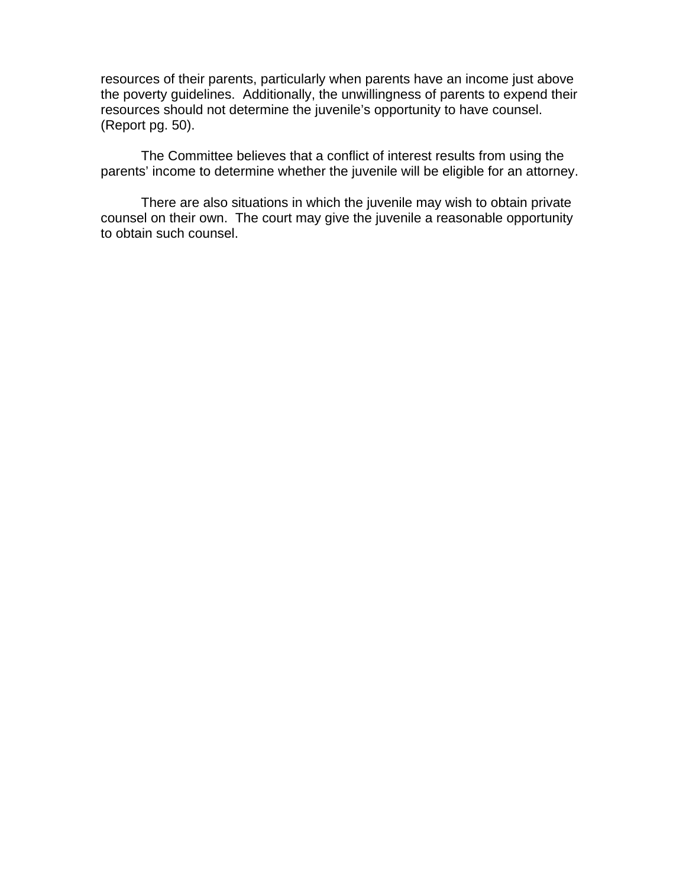resources of their parents, particularly when parents have an income just above the poverty guidelines. Additionally, the unwillingness of parents to expend their resources should not determine the juvenile's opportunity to have counsel. (Report pg. 50).

The Committee believes that a conflict of interest results from using the parents' income to determine whether the juvenile will be eligible for an attorney.

There are also situations in which the juvenile may wish to obtain private counsel on their own. The court may give the juvenile a reasonable opportunity to obtain such counsel.